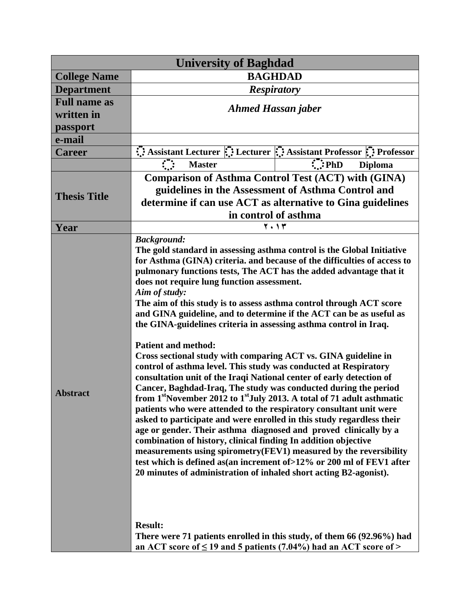| <b>University of Baghdad</b> |                                                                                                                                                                                                                                                                                                                                                                                                                                                                                                                                                                                                                                                                                                                                                                                                                                                                                                                                                                                                                                                                                                                                                                                                                                                                                                                                                                                                                                                                                                                                                                                             |                                                                                                                               |  |
|------------------------------|---------------------------------------------------------------------------------------------------------------------------------------------------------------------------------------------------------------------------------------------------------------------------------------------------------------------------------------------------------------------------------------------------------------------------------------------------------------------------------------------------------------------------------------------------------------------------------------------------------------------------------------------------------------------------------------------------------------------------------------------------------------------------------------------------------------------------------------------------------------------------------------------------------------------------------------------------------------------------------------------------------------------------------------------------------------------------------------------------------------------------------------------------------------------------------------------------------------------------------------------------------------------------------------------------------------------------------------------------------------------------------------------------------------------------------------------------------------------------------------------------------------------------------------------------------------------------------------------|-------------------------------------------------------------------------------------------------------------------------------|--|
| <b>College Name</b>          | <b>BAGHDAD</b>                                                                                                                                                                                                                                                                                                                                                                                                                                                                                                                                                                                                                                                                                                                                                                                                                                                                                                                                                                                                                                                                                                                                                                                                                                                                                                                                                                                                                                                                                                                                                                              |                                                                                                                               |  |
| <b>Department</b>            | <b>Respiratory</b>                                                                                                                                                                                                                                                                                                                                                                                                                                                                                                                                                                                                                                                                                                                                                                                                                                                                                                                                                                                                                                                                                                                                                                                                                                                                                                                                                                                                                                                                                                                                                                          |                                                                                                                               |  |
| <b>Full name as</b>          |                                                                                                                                                                                                                                                                                                                                                                                                                                                                                                                                                                                                                                                                                                                                                                                                                                                                                                                                                                                                                                                                                                                                                                                                                                                                                                                                                                                                                                                                                                                                                                                             |                                                                                                                               |  |
| written in                   | <b>Ahmed Hassan jaber</b>                                                                                                                                                                                                                                                                                                                                                                                                                                                                                                                                                                                                                                                                                                                                                                                                                                                                                                                                                                                                                                                                                                                                                                                                                                                                                                                                                                                                                                                                                                                                                                   |                                                                                                                               |  |
| passport                     |                                                                                                                                                                                                                                                                                                                                                                                                                                                                                                                                                                                                                                                                                                                                                                                                                                                                                                                                                                                                                                                                                                                                                                                                                                                                                                                                                                                                                                                                                                                                                                                             |                                                                                                                               |  |
| e-mail                       |                                                                                                                                                                                                                                                                                                                                                                                                                                                                                                                                                                                                                                                                                                                                                                                                                                                                                                                                                                                                                                                                                                                                                                                                                                                                                                                                                                                                                                                                                                                                                                                             |                                                                                                                               |  |
| <b>Career</b>                |                                                                                                                                                                                                                                                                                                                                                                                                                                                                                                                                                                                                                                                                                                                                                                                                                                                                                                                                                                                                                                                                                                                                                                                                                                                                                                                                                                                                                                                                                                                                                                                             | Assistant Lecturer $\dddot{\mathbf{u}}$ : Lecturer $\dddot{\mathbf{u}}$ : Assistant Professor $\ddot{\mathbf{u}}$ : Professor |  |
|                              | $\mathcal{L}$<br><b>Master</b>                                                                                                                                                                                                                                                                                                                                                                                                                                                                                                                                                                                                                                                                                                                                                                                                                                                                                                                                                                                                                                                                                                                                                                                                                                                                                                                                                                                                                                                                                                                                                              | $\therefore$ PhD<br><b>Diploma</b>                                                                                            |  |
| <b>Thesis Title</b>          | <b>Comparison of Asthma Control Test (ACT) with (GINA)</b><br>guidelines in the Assessment of Asthma Control and<br>determine if can use ACT as alternative to Gina guidelines<br>in control of asthma                                                                                                                                                                                                                                                                                                                                                                                                                                                                                                                                                                                                                                                                                                                                                                                                                                                                                                                                                                                                                                                                                                                                                                                                                                                                                                                                                                                      |                                                                                                                               |  |
| Year                         |                                                                                                                                                                                                                                                                                                                                                                                                                                                                                                                                                                                                                                                                                                                                                                                                                                                                                                                                                                                                                                                                                                                                                                                                                                                                                                                                                                                                                                                                                                                                                                                             |                                                                                                                               |  |
| <b>Abstract</b>              | $\overline{Y}$ + 1 $\overline{Y}$<br><b>Background:</b><br>The gold standard in assessing asthma control is the Global Initiative<br>for Asthma (GINA) criteria. and because of the difficulties of access to<br>pulmonary functions tests, The ACT has the added advantage that it<br>does not require lung function assessment.<br>Aim of study:<br>The aim of this study is to assess asthma control through ACT score<br>and GINA guideline, and to determine if the ACT can be as useful as<br>the GINA-guidelines criteria in assessing asthma control in Iraq.<br><b>Patient and method:</b><br>Cross sectional study with comparing ACT vs. GINA guideline in<br>control of asthma level. This study was conducted at Respiratory<br>consultation unit of the Iraqi National center of early detection of<br>Cancer, Baghdad-Iraq, The study was conducted during the period<br>from 1 <sup>st</sup> November 2012 to 1 <sup>st</sup> July 2013. A total of 71 adult asthmatic<br>patients who were attended to the respiratory consultant unit were<br>asked to participate and were enrolled in this study regardless their<br>age or gender. Their asthma diagnosed and proved clinically by a<br>combination of history, clinical finding In addition objective<br>measurements using spirometry (FEV1) measured by the reversibility<br>test which is defined as(an increment of >12% or 200 ml of FEV1 after<br>20 minutes of administration of inhaled short acting B2-agonist).<br><b>Result:</b><br>There were 71 patients enrolled in this study, of them 66 (92.96%) had |                                                                                                                               |  |